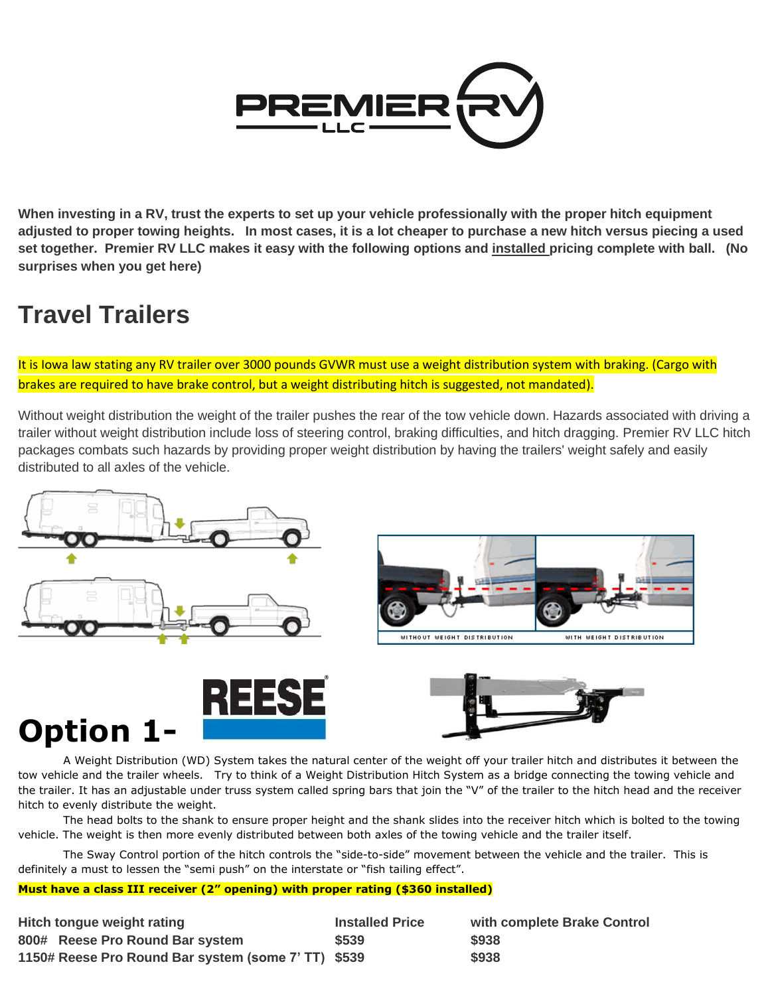

**When investing in a RV, trust the experts to set up your vehicle professionally with the proper hitch equipment adjusted to proper towing heights. In most cases, it is a lot cheaper to purchase a new hitch versus piecing a used set together. Premier RV LLC makes it easy with the following options and installed pricing complete with ball. (No surprises when you get here)**

## **Travel Trailers**

It is Iowa law stating any RV trailer over 3000 pounds GVWR must use a weight distribution system with braking. (Cargo with brakes are required to have brake control, but a weight distributing hitch is suggested, not mandated).

Without weight distribution the weight of the trailer pushes the rear of the tow vehicle down. Hazards associated with driving a trailer without weight distribution include loss of steering control, braking difficulties, and hitch dragging. Premier RV LLC hitch packages combats such hazards by providing proper weight distribution by having the trailers' weight safely and easily distributed to all axles of the vehicle.







#### A Weight Distribution (WD) System takes the natural center of the weight off your trailer hitch and distributes it between the tow vehicle and the trailer wheels. Try to think of a Weight Distribution Hitch System as a bridge connecting the towing vehicle and the trailer. It has an adjustable under truss system called spring bars that join the "V" of the trailer to the hitch head and the receiver hitch to evenly distribute the weight.

The head bolts to the shank to ensure proper height and the shank slides into the receiver hitch which is bolted to the towing vehicle. The weight is then more evenly distributed between both axles of the towing vehicle and the trailer itself.

The Sway Control portion of the hitch controls the "side-to-side" movement between the vehicle and the trailer. This is definitely a must to lessen the "semi push" on the interstate or "fish tailing effect".

#### **Must have a class III receiver (2" opening) with proper rating (\$360 installed)**

| <b>Hitch tongue weight rating</b>                   | <b>Installed Price</b> | with complete Brake Control |
|-----------------------------------------------------|------------------------|-----------------------------|
| 800# Reese Pro Round Bar system                     | \$539                  | \$938                       |
| 1150# Reese Pro Round Bar system (some 7' TT) \$539 |                        | \$938                       |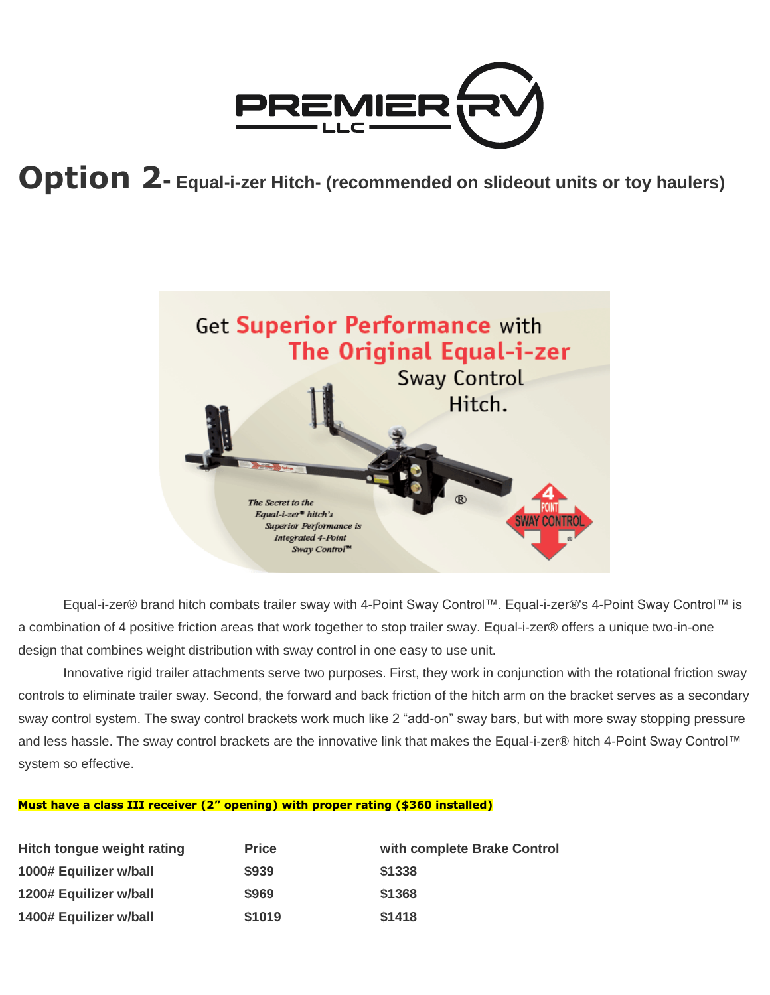

## **Option 2- Equal-i-zer Hitch- (recommended on slideout units or toy haulers)**



Equal-i-zer® brand hitch combats trailer sway with 4-Point Sway Control™. Equal-i-zer®'s 4-Point Sway Control™ is a combination of 4 positive friction areas that work together to stop trailer sway. Equal-i-zer® offers a unique two-in-one design that combines weight distribution with sway control in one easy to use unit.

Innovative rigid trailer attachments serve two purposes. First, they work in conjunction with the rotational friction sway controls to eliminate trailer sway. Second, the forward and back friction of the hitch arm on the bracket serves as a secondary sway control system. The sway control brackets work much like 2 "add-on" sway bars, but with more sway stopping pressure and less hassle. The sway control brackets are the innovative link that makes the Equal-i-zer® hitch 4-Point Sway Control™ system so effective.

#### **Must have a class III receiver (2" opening) with proper rating (\$360 installed)**

| Hitch tongue weight rating | <b>Price</b> | with complete Brake Control |
|----------------------------|--------------|-----------------------------|
| 1000# Equilizer w/ball     | \$939        | \$1338                      |
| 1200# Equilizer w/ball     | \$969        | \$1368                      |
| 1400# Equilizer w/ball     | \$1019       | \$1418                      |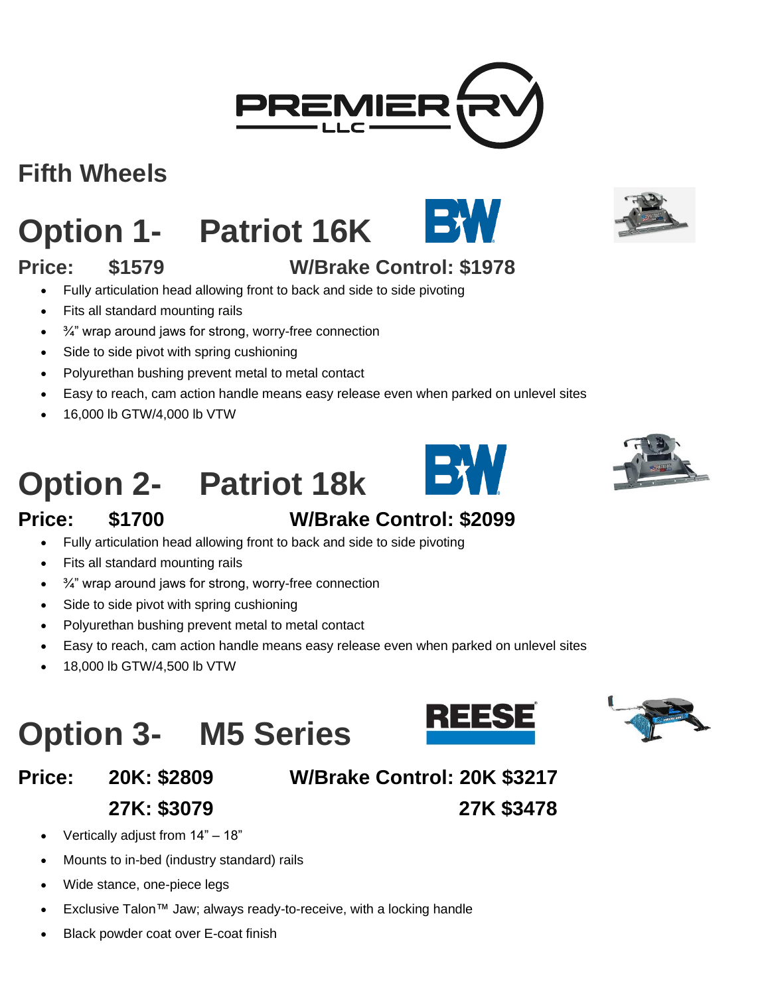## **Fifth Wheels**

# **Option 1- Patriot 16K**

### **Price: \$1579 W/Brake Control: \$1978**

- Fully articulation head allowing front to back and side to side pivoting
- Fits all standard mounting rails
- ¾" wrap around jaws for strong, worry-free connection
- Side to side pivot with spring cushioning
- Polyurethan bushing prevent metal to metal contact
- Easy to reach, cam action handle means easy release even when parked on unlevel sites
- 16,000 lb GTW/4,000 lb VTW

# **Option 2- Patriot 18k**



#### **Price: \$1700 W/Brake Control: \$2099**

- Fully articulation head allowing front to back and side to side pivoting
- Fits all standard mounting rails
- $\bullet$   $\frac{3}{4}$  wrap around jaws for strong, worry-free connection
- Side to side pivot with spring cushioning
- Polyurethan bushing prevent metal to metal contact
- Easy to reach, cam action handle means easy release even when parked on unlevel sites
- 18,000 lb GTW/4,500 lb VTW

# **Option 3- M5 Series**

**Price: 20K: \$2809 W/Brake Control: 20K \$3217**

**27K: \$3079 27K \$3478**



- Vertically adjust from 14" 18"
- Mounts to in-bed (industry standard) rails
- Wide stance, one-piece legs
- Exclusive Talon™ Jaw; always ready-to-receive, with a locking handle
- Black powder coat over E-coat finish













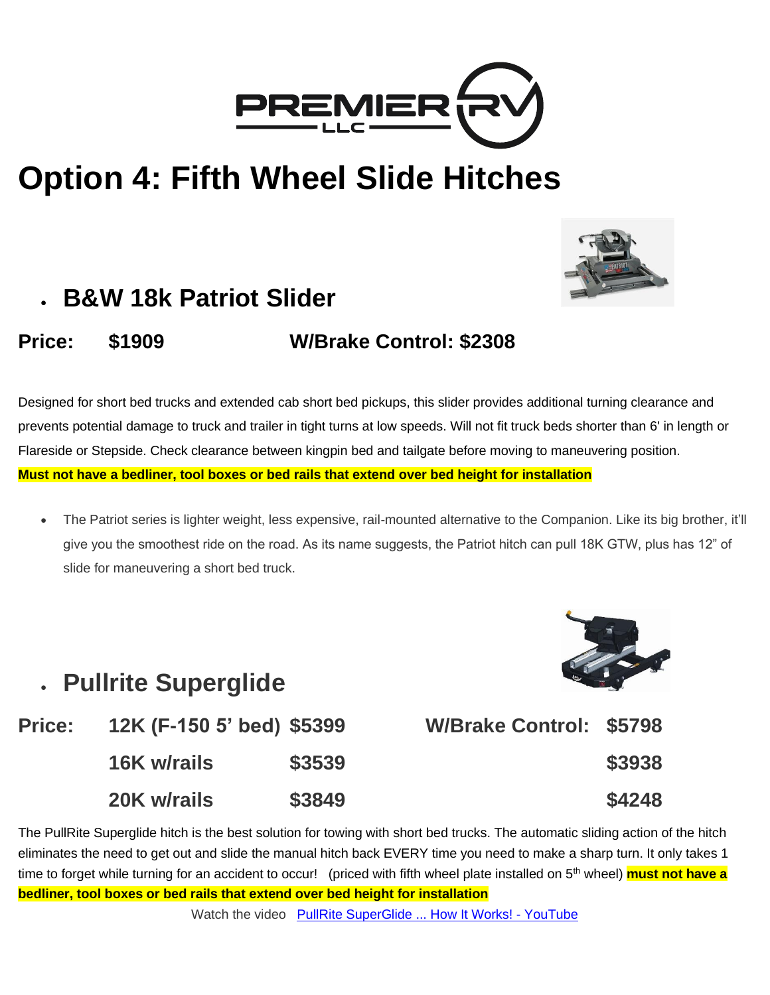

## **Option 4: Fifth Wheel Slide Hitches**



## • **B&W 18k Patriot Slider**

#### **Price: \$1909 W/Brake Control: \$2308**

Designed for short bed trucks and extended cab short bed pickups, this slider provides additional turning clearance and prevents potential damage to truck and trailer in tight turns at low speeds. Will not fit truck beds shorter than 6' in length or Flareside or Stepside. Check clearance between kingpin bed and tailgate before moving to maneuvering position. **Must not have a bedliner, tool boxes or bed rails that extend over bed height for installation**

• The Patriot series is lighter weight, less expensive, rail-mounted alternative to the Companion. Like its big brother, it'll give you the smoothest ride on the road. As its name suggests, the Patriot hitch can pull 18K GTW, plus has 12" of slide for maneuvering a short bed truck.



## • **Pullrite Superglide**

| <b>Price:</b> | 12K (F-150 5' bed) \$5399                                                                                                                                                                                                                                                                                                                                                            |       |
|---------------|--------------------------------------------------------------------------------------------------------------------------------------------------------------------------------------------------------------------------------------------------------------------------------------------------------------------------------------------------------------------------------------|-------|
|               | $\overline{A}$ $\overline{C}$ $\overline{C}$ $\overline{C}$ $\overline{C}$ $\overline{C}$ $\overline{C}$ $\overline{C}$ $\overline{C}$ $\overline{C}$ $\overline{C}$ $\overline{C}$ $\overline{C}$ $\overline{C}$ $\overline{C}$ $\overline{C}$ $\overline{C}$ $\overline{C}$ $\overline{C}$ $\overline{C}$ $\overline{C}$ $\overline{C}$ $\overline{C}$ $\overline{C}$ $\overline{$ | COLOO |



The PullRite Superglide hitch is the best solution for towing with short bed trucks. The automatic sliding action of the hitch eliminates the need to get out and slide the manual hitch back EVERY time you need to make a sharp turn. It only takes 1 time to forget while turning for an accident to occur! (priced with fifth wheel plate installed on 5<sup>th</sup> wheel) **must not have a bedliner, tool boxes or bed rails that extend over bed height for installation**

Watch the video [PullRite SuperGlide ... How It Works! -](https://www.youtube.com/watch?v=rwcTO1Io3hw) YouTube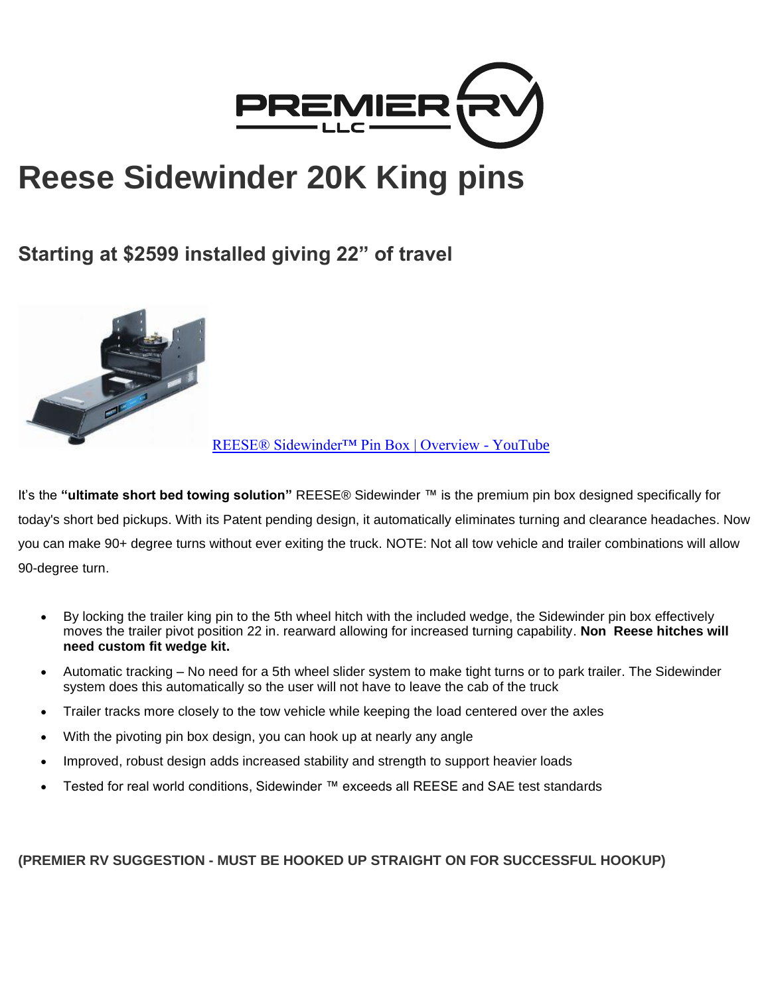

## **Reese Sidewinder 20K King pins**

#### **Starting at \$2599 installed giving 22" of travel**



[REESE® Sidewinder™ Pin Box | Overview -](https://www.youtube.com/watch?v=OLZMAoB12LU) YouTube

It's the **"ultimate short bed towing solution"** REESE® Sidewinder ™ is the premium pin box designed specifically for today's short bed pickups. With its Patent pending design, it automatically eliminates turning and clearance headaches. Now you can make 90+ degree turns without ever exiting the truck. NOTE: Not all tow vehicle and trailer combinations will allow 90-degree turn.

- By locking the trailer king pin to the 5th wheel hitch with the included wedge, the Sidewinder pin box effectively moves the trailer pivot position 22 in. rearward allowing for increased turning capability. **Non Reese hitches will need custom fit wedge kit.**
- Automatic tracking No need for a 5th wheel slider system to make tight turns or to park trailer. The Sidewinder system does this automatically so the user will not have to leave the cab of the truck
- Trailer tracks more closely to the tow vehicle while keeping the load centered over the axles
- With the pivoting pin box design, you can hook up at nearly any angle
- Improved, robust design adds increased stability and strength to support heavier loads
- Tested for real world conditions, Sidewinder ™ exceeds all REESE and SAE test standards

**(PREMIER RV SUGGESTION - MUST BE HOOKED UP STRAIGHT ON FOR SUCCESSFUL HOOKUP)**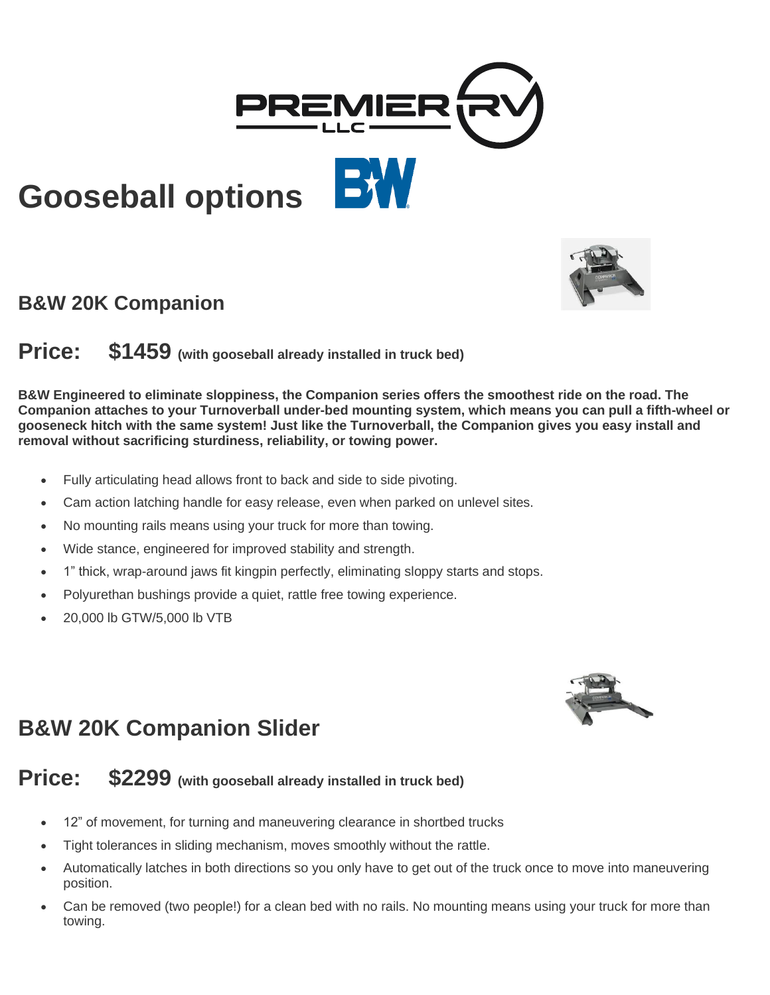

## **Gooseball options**

#### **B&W 20K Companion**

#### **Price: \$1459 (with gooseball already installed in truck bed)**

**B&W Engineered to eliminate sloppiness, the Companion series offers the smoothest ride on the road. The Companion attaches to your Turnoverball under-bed mounting system, which means you can pull a fifth-wheel or gooseneck hitch with the same system! Just like the Turnoverball, the Companion gives you easy install and removal without sacrificing sturdiness, reliability, or towing power.**

- Fully articulating head allows front to back and side to side pivoting.
- Cam action latching handle for easy release, even when parked on unlevel sites.
- No mounting rails means using your truck for more than towing.
- Wide stance, engineered for improved stability and strength.
- 1" thick, wrap-around jaws fit kingpin perfectly, eliminating sloppy starts and stops.
- Polyurethan bushings provide a quiet, rattle free towing experience.
- 20,000 lb GTW/5,000 lb VTB



### **B&W 20K Companion Slider**

#### **Price: \$2299 (with gooseball already installed in truck bed)**

- 12" of movement, for turning and maneuvering clearance in shortbed trucks
- Tight tolerances in sliding mechanism, moves smoothly without the rattle.
- Automatically latches in both directions so you only have to get out of the truck once to move into maneuvering position.
- Can be removed (two people!) for a clean bed with no rails. No mounting means using your truck for more than towing.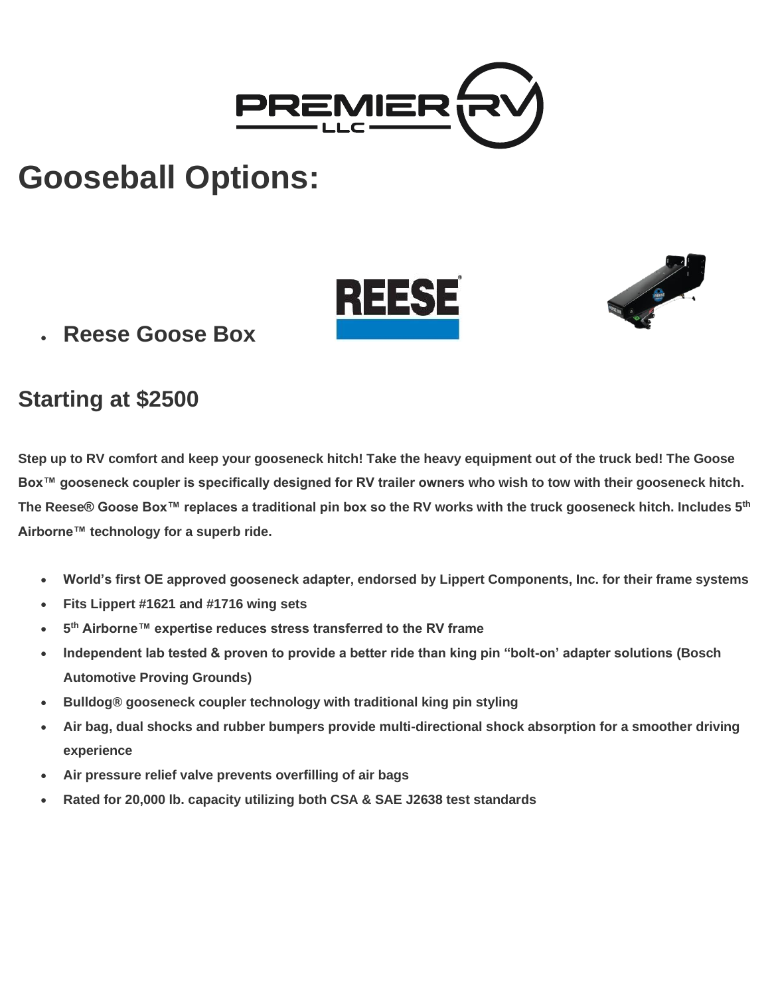

## **Gooseball Options:**





• **Reese Goose Box**

### **Starting at \$2500**

**Step up to RV comfort and keep your gooseneck hitch! Take the heavy equipment out of the truck bed! The Goose Box™ gooseneck coupler is specifically designed for RV trailer owners who wish to tow with their gooseneck hitch. The Reese® Goose Box™ replaces a traditional pin box so the RV works with the truck gooseneck hitch. Includes 5th Airborne™ technology for a superb ride.**

- **World's first OE approved gooseneck adapter, endorsed by Lippert Components, Inc. for their frame systems**
- **Fits Lippert #1621 and #1716 wing sets**
- **5 th Airborne™ expertise reduces stress transferred to the RV frame**
- **Independent lab tested & proven to provide a better ride than king pin "bolt-on' adapter solutions (Bosch Automotive Proving Grounds)**
- **Bulldog® gooseneck coupler technology with traditional king pin styling**
- **Air bag, dual shocks and rubber bumpers provide multi-directional shock absorption for a smoother driving experience**
- **Air pressure relief valve prevents overfilling of air bags**
- **Rated for 20,000 lb. capacity utilizing both CSA & SAE J2638 test standards**